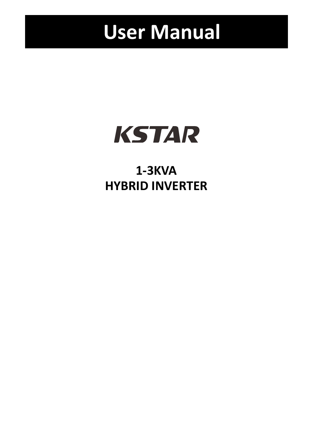# **User Manual**



## **1‐3KVA HYBRID INVERTER**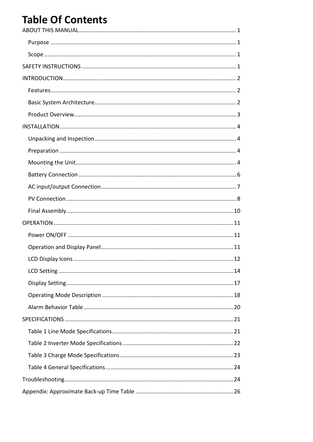## **Table Of Contents**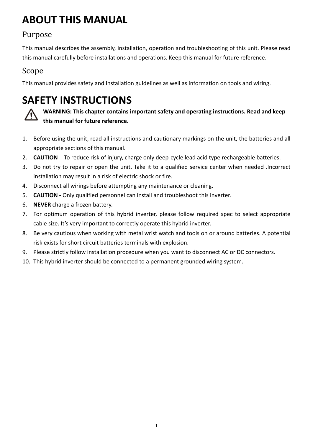## **ABOUT THIS MANUAL**

### Purpose

This manual describes the assembly, installation, operation and troubleshooting of this unit. Please read this manual carefully before installations and operations. Keep this manual for future reference.

### Scope

This manual provides safety and installation guidelines as well as information on tools and wiring.

## **SAFETY INSTRUCTIONS**



**WARNING: This chapter contains important safety and operating instructions. Read and keep this manual for future reference.**

- 1. Before using the unit, read all instructions and cautionary markings on the unit, the batteries and all appropriate sections of this manual.
- 2. **CAUTION**—To reduce risk of injury, charge only deep-cycle lead acid type rechargeable batteries.
- 3. Do not try to repair or open the unit. Take it to a qualified service center when needed .Incorrect installation may result in a risk of electric shock or fire.
- 4. Disconnect all wirings before attempting any maintenance or cleaning.
- 5. **CAUTION ‐** Only qualified personnel can install and troubleshoot this inverter.
- 6. **NEVER** charge a frozen battery.
- 7. For optimum operation of this hybrid inverter, please follow required spec to select appropriate cable size. It's very important to correctly operate this hybrid inverter.
- 8. Be very cautious when working with metal wrist watch and tools on or around batteries. A potential risk exists for short circuit batteries terminals with explosion.
- 9. Please strictly follow installation procedure when you want to disconnect AC or DC connectors.
- 10. This hybrid inverter should be connected to a permanent grounded wiring system.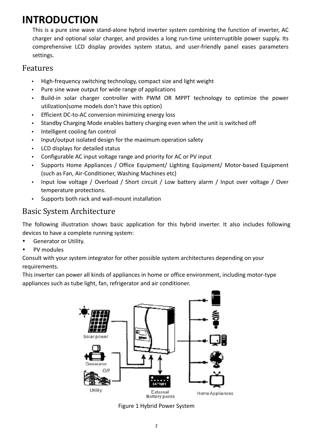## **INTRODUCTION**

This is a pure sine wave stand‐alone hybrid inverter system combining the function of inverter, AC charger and optional solar charger, and provides a long run‐time uninterruptible power supply. Its comprehensive LCD display provides system status, and user-friendly panel eases parameters settings.

#### Features

- High‐frequency switching technology, compact size and light weight
- Pure sine wave output for wide range of applications
- Build‐in solar charger controller with PWM OR MPPT technology to optimize the power utilization(some models don't have this option)
- Efficient DC-to-AC conversion minimizing energy loss
- Standby Charging Mode enables battery charging even when the unit is switched off
- Intelligent cooling fan control
- Input/output isolated design for the maximum operation safety
- LCD displays for detailed status
- Configurable AC input voltage range and priority for AC or PV input
- Supports Home Appliances / Office Equipment/ Lighting Equipment/ Motor‐based Equipment (such as Fan, Air‐Conditioner, Washing Machines etc)
- Input low voltage / Overload / Short circuit / Low battery alarm / Input over voltage / Over temperature protections.
- Supports both rack and wall‐mount installation

### Basic System Architecture

The following illustration shows basic application for this hybrid inverter. It also includes following devices to have a complete running system:

- Generator or Utility.
- PV modules

Consult with your system integrator for other possible system architectures depending on your requirements.

This inverter can power all kinds of appliances in home or office environment, including motor‐type appliances such as tube light, fan, refrigerator and air conditioner.



Figure 1 Hybrid Power System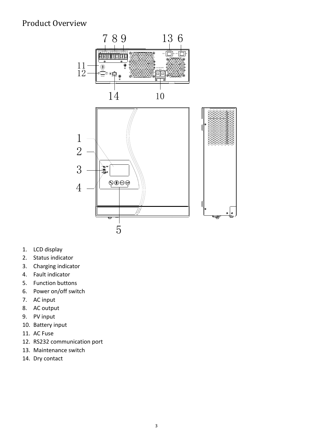### Product Overview



- 1. LCD display
- 2. Status indicator
- 3. Charging indicator
- 4. Fault indicator
- 5. Function buttons
- 6. Power on/off switch
- 7. AC input
- 8. AC output
- 9. PV input
- 10. Battery input
- 11. AC Fuse
- 12. RS232 communication port
- 13. Maintenance switch
- 14. Dry contact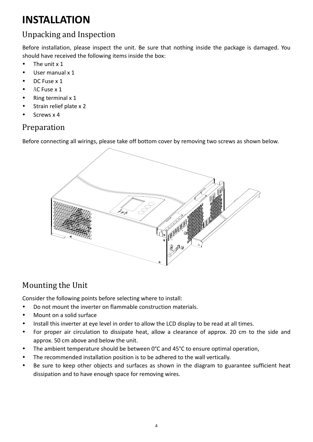## **INSTALLATION**

### Unpacking and Inspection

Before installation, please inspect the unit. Be sure that nothing inside the package is damaged. You should have received the following items inside the box:

- The unit x 1
- User manual x 1
- DC Fuse x 1
- AC Fuse x 1
- $\bullet$  Ring terminal x 1
- Strain relief plate x 2
- $\cdot$  Screws x 4

### Preparation

Before connecting all wirings, please take off bottom cover by removing two screws as shown below.



### Mounting the Unit

Consider the following points before selecting where to install:

- Do not mount the inverter on flammable construction materials.
- Mount on a solid surface
- Install this inverter at eye level in order to allow the LCD display to be read at all times.
- For proper air circulation to dissipate heat, allow a clearance of approx. 20 cm to the side and approx. 50 cm above and below the unit.
- The ambient temperature should be between 0°C and 45°C to ensure optimal operation,
- The recommended installation position is to be adhered to the wall vertically.
- Be sure to keep other objects and surfaces as shown in the diagram to guarantee sufficient heat dissipation and to have enough space for removing wires.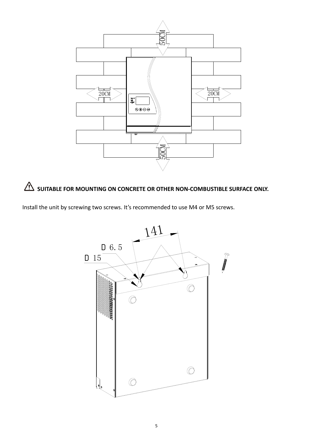



Install the unit by screwing two screws. It's recommended to use M4 or M5 screws.

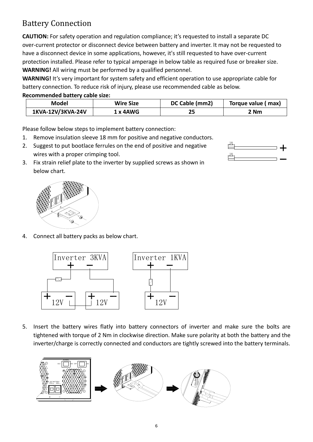### Battery Connection

**CAUTION:** For safety operation and regulation compliance; it's requested to install a separate DC over‐current protector or disconnect device between battery and inverter. It may not be requested to have a disconnect device in some applications, however, it's still requested to have over-current protection installed. Please refer to typical amperage in below table as required fuse or breaker size. **WARNING!** All wiring must be performed by a qualified personnel.

**WARNING!** It's very important for system safety and efficient operation to use appropriate cable for battery connection. To reduce risk of injury, please use recommended cable as below.

#### **Recommended battery cable size:**

| Model                         | <b>Wire Size</b> |  | Torque value (max) |  |
|-------------------------------|------------------|--|--------------------|--|
| 1KVA-12V/3KVA-24V<br>1 x 4AWG |                  |  | 2 Nm               |  |

Please follow below steps to implement battery connection:

- 1. Remove insulation sleeve 18 mm for positive and negative conductors.
- 2. Suggest to put bootlace ferrules on the end of positive and negative wires with a proper crimping tool.
- 3. Fix strain relief plate to the inverter by supplied screws as shown in below chart.

4. Connect all battery packs as below chart.

Inverter 3KVA

 $12V$  | | |  $12V$ 

5. Insert the battery wires flatly into battery connectors of inverter and make sure the bolts are tightened with torque of 2 Nm in clockwise direction. Make sure polarity at both the battery and the inverter/charge is correctly connected and conductors are tightly screwed into the battery terminals.

12V

Inverter 1KVA





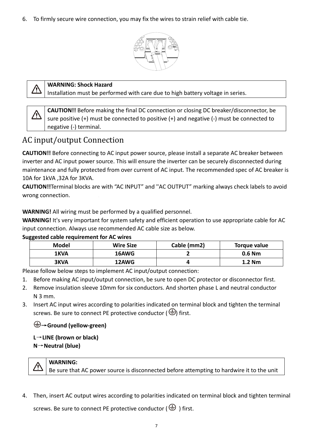6. To firmly secure wire connection, you may fix the wires to strain relief with cable tie.





#### **WARNING: Shock Hazard**

Installation must be performed with care due to high battery voltage in series.

**CAUTION!!** Before making the final DC connection or closing DC breaker/disconnector, be sure positive (+) must be connected to positive (+) and negative (‐) must be connected to negative (‐) terminal.

### AC input/output Connection

**CAUTION!!** Before connecting to AC input power source, please install a separate AC breaker between inverter and AC input power source. This will ensure the inverter can be securely disconnected during maintenance and fully protected from over current of AC input. The recommended spec of AC breaker is 10A for 1kVA ,32A for 3KVA.

**CAUTION!!**Terminal blocks are with "AC INPUT" and ''AC OUTPUT" marking always check labels to avoid wrong connection.

#### **WARNING!** All wiring must be performed by a qualified personnel.

**WARNING!** It's very important for system safety and efficient operation to use appropriate cable for AC input connection. Always use recommended AC cable size as below.

| $m_{\rm N}$ , $m_{\rm N}$ , $m_{\rm N}$ , $m_{\rm N}$ , $m_{\rm N}$ , $m_{\rm N}$ , $m_{\rm N}$ , $m_{\rm N}$ , $m_{\rm N}$ |                  |             |              |  |  |  |
|-----------------------------------------------------------------------------------------------------------------------------|------------------|-------------|--------------|--|--|--|
| Model                                                                                                                       | <b>Wire Size</b> | Cable (mm2) | Torque value |  |  |  |
| 1KVA                                                                                                                        | 16AWG            |             | $0.6$ Nm     |  |  |  |
| 3KVA                                                                                                                        | 12AWG            |             | 1.2 Nm       |  |  |  |

#### **Suggested cable requirement for AC wires**

Please follow below steps to implement AC input/output connection:

- 1. Before making AC input/output connection, be sure to open DC protector or disconnector first.
- 2. Remove insulation sleeve 10mm for six conductors. And shorten phase L and neutral conductor N 3 mm.
- 3. Insert AC input wires according to polarities indicated on terminal block and tighten the terminal screws. Be sure to connect PE protective conductor ( $\bigcirc$ ) first.

#### →**Ground (yellow‐green)**

**L**→**LINE (brown or black) N**→**Neutral (blue)**

#### **WARNING:**  ∕≬\

Be sure that AC power source is disconnected before attempting to hardwire it to the unit

4. Then, insert AC output wires according to polarities indicated on terminal block and tighten terminal

screws. Be sure to connect PE protective conductor ( $\bigoplus$ ) first.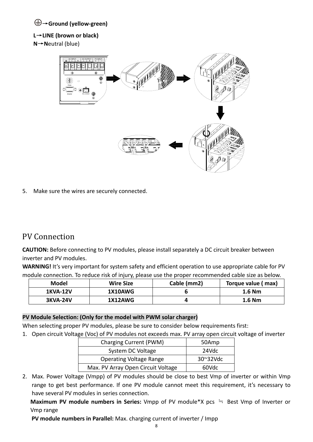#### →**Ground (yellow‐green)**

#### **L**→**LINE (brown or black)**

**N**→**N**eutral (blue)



5. Make sure the wires are securely connected.

### PV Connection

**CAUTION:** Before connecting to PV modules, please install separately a DC circuit breaker between inverter and PV modules.

**WARNING!** It's very important for system safety and efficient operation to use appropriate cable for PV module connection. To reduce risk of injury, please use the proper recommended cable size as below.

| Model           | <b>Wire Size</b> | Cable (mm2) | Torque value (max) |
|-----------------|------------------|-------------|--------------------|
| <b>1KVA-12V</b> | 1X10AWG          |             | 1.6 Nm             |
| <b>3KVA-24V</b> | 1X12AWG          |             | $1.6$ Nm           |

#### **PV Module Selection: (Only for the model with PWM solar charger)**

When selecting proper PV modules, please be sure to consider below requirements first:

1. Open circuit Voltage (Voc) of PV modules not exceeds max. PV array open circuit voltage of inverter

| Charging Current (PWM)             | 50Amp              |
|------------------------------------|--------------------|
| System DC Voltage                  | 24Vdc              |
| <b>Operating Voltage Range</b>     | $30^{\circ}32$ Vdc |
| Max. PV Array Open Circuit Voltage | 60Vdc              |

2. Max. Power Voltage (Vmpp) of PV modules should be close to best Vmp of inverter or within Vmp range to get best performance. If one PV module cannot meet this requirement, it's necessary to have several PV modules in series connection.

**Maximum PV module numbers in Series:** Vmpp of PV module\*X pcs ≒ Best Vmp of Inverter or Vmp range

**PV module numbers in Parallel:** Max. charging current of inverter / Impp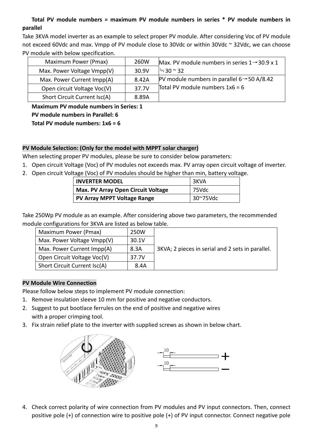#### **Total PV module numbers = maximum PV module numbers in series \* PV module numbers in parallel**

Take 3KVA model inverter as an example to select proper PV module. After considering Voc of PV module not exceed 60Vdc and max. Vmpp of PV module close to 30Vdc or within 30Vdc ~ 32Vdc, we can choose PV module with below specification.

| Maximum Power (Pmax)         | 260W  | Max. PV module numbers in series $1 \rightarrow 30.9 \times 1$ |
|------------------------------|-------|----------------------------------------------------------------|
| Max. Power Voltage Vmpp(V)   | 30.9V | $\approx$ 30 $\approx$ 32                                      |
| Max. Power Current Impp(A)   | 8.42A | PV module numbers in parallel $6 \rightarrow 50$ A/8.42        |
| Open circuit Voltage Voc(V)  | 37.7V | Total PV module numbers $1x6 = 6$                              |
| Short Circuit Current Isc(A) | 8.89A |                                                                |

**Maximum PV module numbers in Series: 1 PV module numbers in Parallel: 6 Total PV module numbers: 1x6 = 6**

#### **PV Module Selection: (Only for the model with MPPT solar charger)**

When selecting proper PV modules, please be sure to consider below parameters:

- 1. Open circuit Voltage (Voc) of PV modules not exceeds max. PV array open circuit voltage of inverter.
- 2. Open circuit Voltage (Voc) of PV modules should be higher than min, battery voltage.

| <b>INVERTER MODEL</b>                     | 3KVA     |
|-------------------------------------------|----------|
| <b>Max. PV Array Open Circuit Voltage</b> | 75Vdc    |
| <b>PV Array MPPT Voltage Range</b>        | 30~75Vdc |

Take 250Wp PV module as an example. After considering above two parameters, the recommended module configurations for 3KVA are listed as below table.

| Maximum Power (Pmax)         | 250W  |                                                  |
|------------------------------|-------|--------------------------------------------------|
| Max. Power Voltage Vmpp(V)   | 30.1V |                                                  |
| Max. Power Current Impp(A)   | 8.3A  | 3KVA; 2 pieces in serial and 2 sets in parallel. |
| Open Circuit Voltage Voc(V)  | 37.7V |                                                  |
| Short Circuit Current Isc(A) | 8.4A  |                                                  |

#### **PV Module Wire Connection**

Please follow below steps to implement PV module connection:

- 1. Remove insulation sleeve 10 mm for positive and negative conductors.
- 2. Suggest to put bootlace ferrules on the end of positive and negative wires with a proper crimping tool.
- 3. Fix strain relief plate to the inverter with supplied screws as shown in below chart.





4. Check correct polarity of wire connection from PV modules and PV input connectors. Then, connect positive pole (+) of connection wire to positive pole (+) of PV input connector. Connect negative pole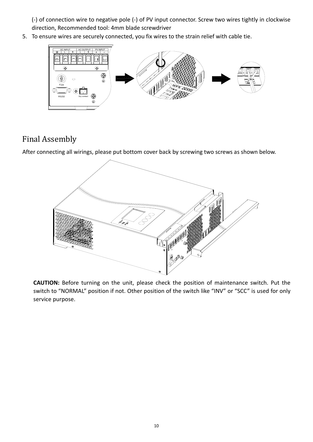(‐) of connection wire to negative pole (‐) of PV input connector. Screw two wires tightly in clockwise 6.direction, Recommended tool: 4mm blade screwdriver

5. To ensure wires are securely connected, you fix wires to the strain relief with cable tie.



### Final Assembly

After connecting all wirings, please put bottom cover back by screwing two screws as shown below.



**CAUTION:** Before turning on the unit, please check the position of maintenance switch. Put the switch to "NORMAL" position if not. Other position of the switch like "INV" or "SCC" is used for only service purpose.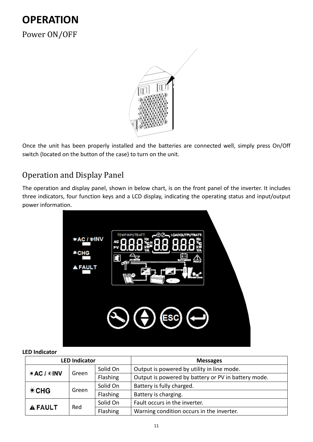## **OPERATION** Power ON/OFF



Once the unit has been properly installed and the batteries are connected well, simply press On/Off switch (located on the button of the case) to turn on the unit.

### Operation and Display Panel

The operation and display panel, shown in below chart, is on the front panel of the inverter. It includes three indicators, four function keys and a LCD display, indicating the operating status and input/output power information.



#### **LED Indicator**

| <b>LED Indicator</b> |       |          | <b>Messages</b>                                     |
|----------------------|-------|----------|-----------------------------------------------------|
|                      |       | Solid On | Output is powered by utility in line mode.          |
| <b>*AC / *INV</b>    | Green | Flashing | Output is powered by battery or PV in battery mode. |
| *CHG                 | Green | Solid On | Battery is fully charged.                           |
|                      |       | Flashing | Battery is charging.                                |
| <b>A FAULT</b>       | Red   | Solid On | Fault occurs in the inverter.                       |
|                      |       | Flashing | Warning condition occurs in the inverter.           |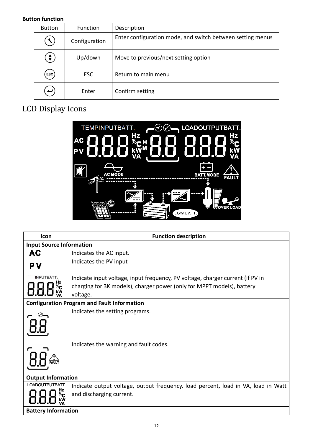#### **Button function**

| <b>Button</b> | Function      | Description                                                |
|---------------|---------------|------------------------------------------------------------|
|               | Configuration | Enter configuration mode, and switch between setting menus |
| $\bullet$     | Up/down       | Move to previous/next setting option                       |
| ESC           | <b>ESC</b>    | Return to main menu                                        |
| ب             | Enter         | Confirm setting                                            |

## LCD Display Icons



| <b>Icon</b>                     | <b>Function description</b>                                                        |
|---------------------------------|------------------------------------------------------------------------------------|
| <b>Input Source Information</b> |                                                                                    |
| AC                              | Indicates the AC input.                                                            |
| ΡV                              | Indicates the PV input                                                             |
| INPUTBATT.                      | Indicate input voltage, input frequency, PV voltage, charger current (if PV in     |
|                                 | charging for 3K models), charger power (only for MPPT models), battery<br>voltage. |
|                                 | <b>Configuration Program and Fault Information</b>                                 |
|                                 | Indicates the setting programs.                                                    |
|                                 | Indicates the warning and fault codes.                                             |
| <b>Output Information</b>       |                                                                                    |
| LOADOUTPUTBATT.                 | Indicate output voltage, output frequency, load percent, load in VA, load in Watt  |
|                                 | and discharging current.                                                           |
| <b>Battery Information</b>      |                                                                                    |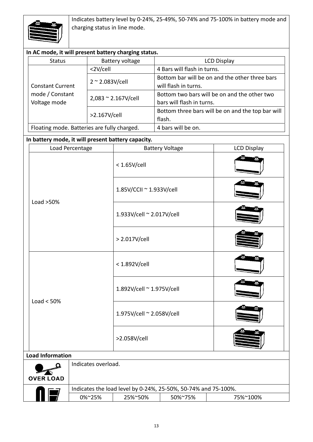

Indicates battery level by 0‐24%, 25‐49%, 50‐74% and 75‐100% in battery mode and charging status in line mode.

| In AC mode, it will present battery charging status. |                              |                             |                                                   |                                                |  |
|------------------------------------------------------|------------------------------|-----------------------------|---------------------------------------------------|------------------------------------------------|--|
| <b>Status</b>                                        | Battery voltage              |                             | <b>LCD Display</b>                                |                                                |  |
|                                                      | <2V/cell                     | 4 Bars will flash in turns. |                                                   |                                                |  |
|                                                      |                              |                             |                                                   | Bottom bar will be on and the other three bars |  |
| <b>Constant Current</b>                              | $2 \sim 2.083$ V/cell        |                             | will flash in turns.                              |                                                |  |
| mode / Constant                                      |                              |                             | Bottom two bars will be on and the other two      |                                                |  |
| Voltage mode                                         | $2,083 \approx 2.167$ V/cell |                             | bars will flash in turns.                         |                                                |  |
|                                                      | >2.167V/cell                 |                             | Bottom three bars will be on and the top bar will |                                                |  |
|                                                      |                              |                             | flash.                                            |                                                |  |
| Floating mode. Batteries are fully charged.          |                              | 4 bars will be on.          |                                                   |                                                |  |
|                                                      |                              |                             |                                                   |                                                |  |
| In battery mode, it will present battery capacity.   |                              |                             |                                                   |                                                |  |
| Load Percentage                                      |                              |                             | <b>Battery Voltage</b>                            | <b>LCD Display</b>                             |  |
|                                                      |                              | $< 1.65$ V/cell             |                                                   |                                                |  |

|                                         |              |                          | $<$ 1.65V/cell                                                                                   |                           |  |  |  |
|-----------------------------------------|--------------|--------------------------|--------------------------------------------------------------------------------------------------|---------------------------|--|--|--|
|                                         |              | 1.85V/CCII ~ 1.933V/cell |                                                                                                  |                           |  |  |  |
|                                         |              | Load $>50\%$             |                                                                                                  | 1.933V/cell ~ 2.017V/cell |  |  |  |
|                                         |              |                          | > 2.017V/cell                                                                                    |                           |  |  |  |
|                                         |              |                          | < 1.892V/cell                                                                                    |                           |  |  |  |
|                                         | Load $< 50%$ |                          | 1.892V/cell ~ 1.975V/cell                                                                        |                           |  |  |  |
|                                         |              |                          | 1.975V/cell ~ 2.058V/cell                                                                        |                           |  |  |  |
|                                         |              |                          | >2.058V/cell                                                                                     |                           |  |  |  |
| <b>Load Information</b>                 |              |                          |                                                                                                  |                           |  |  |  |
| Indicates overload.<br><b>OVER LOAD</b> |              |                          |                                                                                                  |                           |  |  |  |
|                                         |              |                          |                                                                                                  |                           |  |  |  |
|                                         |              | 0%~25%                   | Indicates the load level by 0-24%, 25-50%, 50-74% and 75-100%.<br>25%~50%<br>50%~75%<br>75%~100% |                           |  |  |  |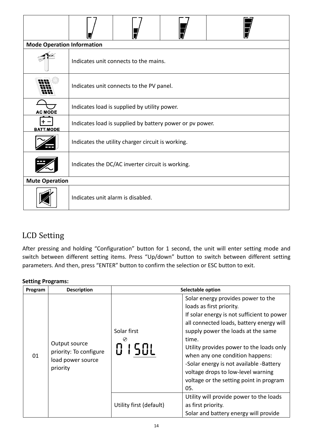|                  | <b>Mode Operation Information</b>                        |  |  |  |  |  |  |  |
|------------------|----------------------------------------------------------|--|--|--|--|--|--|--|
|                  | Indicates unit connects to the mains.                    |  |  |  |  |  |  |  |
|                  | Indicates unit connects to the PV panel.                 |  |  |  |  |  |  |  |
| <b>AC MODE</b>   | Indicates load is supplied by utility power.             |  |  |  |  |  |  |  |
| <b>BATT.MODE</b> | Indicates load is supplied by battery power or pv power. |  |  |  |  |  |  |  |
|                  | Indicates the utility charger circuit is working.        |  |  |  |  |  |  |  |
|                  | Indicates the DC/AC inverter circuit is working.         |  |  |  |  |  |  |  |
|                  | <b>Mute Operation</b>                                    |  |  |  |  |  |  |  |
|                  | Indicates unit alarm is disabled.                        |  |  |  |  |  |  |  |

### LCD Setting

After pressing and holding "Configuration" button for 1 second, the unit will enter setting mode and switch between different setting items. Press "Up/down" button to switch between different setting parameters. And then, press "ENTER" button to confirm the selection or ESC button to exit.

#### **Setting Programs:**

| Program | <b>Description</b>                                                       | Selectable option           |                                                                                                                                                                                                                                                                                                                                                                                                                           |  |  |
|---------|--------------------------------------------------------------------------|-----------------------------|---------------------------------------------------------------------------------------------------------------------------------------------------------------------------------------------------------------------------------------------------------------------------------------------------------------------------------------------------------------------------------------------------------------------------|--|--|
| 01      | Output source<br>priority: To configure<br>load power source<br>priority | Solar first<br>⊘<br>8   581 | Solar energy provides power to the<br>loads as first priority.<br>If solar energy is not sufficient to power<br>all connected loads, battery energy will<br>supply power the loads at the same<br>time.<br>Utility provides power to the loads only<br>when any one condition happens:<br>-Solar energy is not available -Battery<br>voltage drops to low-level warning<br>voltage or the setting point in program<br>05. |  |  |
|         |                                                                          | Utility first (default)     | Utility will provide power to the loads<br>as first priority.<br>Solar and battery energy will provide                                                                                                                                                                                                                                                                                                                    |  |  |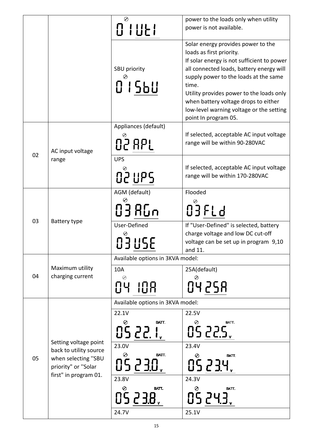|    |                                                 | $\odot$                            | power to the loads only when utility                                                                                                                                                                                                                                                           |
|----|-------------------------------------------------|------------------------------------|------------------------------------------------------------------------------------------------------------------------------------------------------------------------------------------------------------------------------------------------------------------------------------------------|
|    |                                                 | 0 1 0 2 1                          | power is not available.                                                                                                                                                                                                                                                                        |
|    |                                                 | SBU priority<br>01560              | Solar energy provides power to the<br>loads as first priority.<br>If solar energy is not sufficient to power<br>all connected loads, battery energy will<br>supply power to the loads at the same<br>time.<br>Utility provides power to the loads only<br>when battery voltage drops to either |
|    |                                                 |                                    | low-level warning voltage or the setting<br>point In program 05.                                                                                                                                                                                                                               |
|    |                                                 | Appliances (default)               |                                                                                                                                                                                                                                                                                                |
|    | AC input voltage                                | <b>02 RPL</b>                      | If selected, acceptable AC input voltage<br>range will be within 90-280VAC                                                                                                                                                                                                                     |
| 02 | range                                           | <b>UPS</b><br>ה<br>12 נוף <i>5</i> | If selected, acceptable AC input voltage<br>range will be within 170-280VAC                                                                                                                                                                                                                    |
|    |                                                 |                                    |                                                                                                                                                                                                                                                                                                |
|    | Battery type                                    | AGM (default)                      | Flooded                                                                                                                                                                                                                                                                                        |
| 03 |                                                 | <b>038Gn</b>                       | OJFLd                                                                                                                                                                                                                                                                                          |
|    |                                                 | User-Defined                       | If "User-Defined" is selected, battery                                                                                                                                                                                                                                                         |
|    |                                                 | <b>03USE</b>                       | charge voltage and low DC cut-off<br>voltage can be set up in program 9,10<br>and 11.                                                                                                                                                                                                          |
|    |                                                 | Available options in 3KVA model:   |                                                                                                                                                                                                                                                                                                |
| 04 | Maximum utility<br>charging current             | 10A                                | 25A(default)                                                                                                                                                                                                                                                                                   |
|    |                                                 | ⊘<br>108<br>ΠЧ                     | ⊘<br>0425R                                                                                                                                                                                                                                                                                     |
|    |                                                 | Available options in 3KVA model:   |                                                                                                                                                                                                                                                                                                |
|    |                                                 | 22.1V                              | 22.5V                                                                                                                                                                                                                                                                                          |
|    |                                                 | ⊘<br>BATT.<br>05 22. I.            | BATT.<br>⊘<br>05225.                                                                                                                                                                                                                                                                           |
|    | Setting voltage point<br>back to utility source | 23.0V                              | 23.4V                                                                                                                                                                                                                                                                                          |
| 05 | when selecting "SBU<br>priority" or "Solar      | BATT.<br>⊘<br>05 2 3.0 ,           | BATT.<br>05234                                                                                                                                                                                                                                                                                 |
|    | first" in program 01.                           | 23.8V                              | 24.3V                                                                                                                                                                                                                                                                                          |
|    |                                                 | BATT.<br>⊘<br>05238                | BATT.<br>Ø<br>05 24.3.                                                                                                                                                                                                                                                                         |
|    |                                                 | 24.7V                              | 25.1V                                                                                                                                                                                                                                                                                          |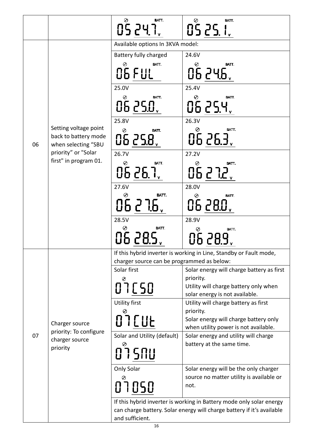|    |                                                                        | $0\overset{\circ}{\mathsf{S}}\,\underline{\mathsf{P}}\,\underline{\mathsf{Y}}\,\overset{\mathsf{a}\,\!\!\!\!\!\!\!\!\textrm{a}\,\!\!\!\!\!\!\textrm{r}}{\mathsf{I}_{\mathsf{v}}}$<br>BATT. | 05 <u>25 liv</u><br>BATT.                                                     |
|----|------------------------------------------------------------------------|--------------------------------------------------------------------------------------------------------------------------------------------------------------------------------------------|-------------------------------------------------------------------------------|
|    |                                                                        | Available options In 3KVA model:                                                                                                                                                           |                                                                               |
|    |                                                                        |                                                                                                                                                                                            | 24.6V                                                                         |
|    |                                                                        | <b>Battery fully charged</b><br>⊘<br>BATT.                                                                                                                                                 | $\odot$<br>BATT.                                                              |
|    |                                                                        | <b>O6 FUL</b>                                                                                                                                                                              | 06246                                                                         |
|    |                                                                        | 25.0V                                                                                                                                                                                      | 25.4V                                                                         |
|    |                                                                        | ⊘<br>BATT.<br>06 250.                                                                                                                                                                      | Ø<br>BATT.<br>0625.4                                                          |
|    |                                                                        | 25.8V                                                                                                                                                                                      | 26.3V                                                                         |
| 06 | Setting voltage point<br>back to battery mode<br>when selecting "SBU   | $\odot$<br>BATT.<br>0625.8                                                                                                                                                                 | Ø<br>BATT.<br>06 26.3.                                                        |
|    | priority" or "Solar                                                    | 26.7V                                                                                                                                                                                      | 27.2V                                                                         |
|    | first" in program 01.                                                  | O<br>BATT.<br>06 26.7.                                                                                                                                                                     | BATT.<br>06272.                                                               |
|    |                                                                        | 27.6V                                                                                                                                                                                      | 28.0V                                                                         |
|    |                                                                        | BATT.<br>Ø                                                                                                                                                                                 | ⊘<br>BATT.                                                                    |
|    |                                                                        | 06 2 7.6,                                                                                                                                                                                  | 06 280.                                                                       |
|    |                                                                        | 28.5V                                                                                                                                                                                      | 28.9V                                                                         |
|    |                                                                        | $\odot$<br>BATT.<br>06 28.5,                                                                                                                                                               | Ø<br>BATT.<br>06 28.9                                                         |
|    | Charger source<br>priority: To configure<br>charger source<br>priority |                                                                                                                                                                                            | If this hybrid inverter is working in Line, Standby or Fault mode,            |
|    |                                                                        | charger source can be programmed as below:                                                                                                                                                 |                                                                               |
|    |                                                                        | Solar first                                                                                                                                                                                | Solar energy will charge battery as first<br>priority.                        |
|    |                                                                        | 07050                                                                                                                                                                                      | Utility will charge battery only when                                         |
|    |                                                                        |                                                                                                                                                                                            | solar energy is not available.                                                |
|    |                                                                        | <b>Utility first</b>                                                                                                                                                                       | Utility will charge battery as first                                          |
|    |                                                                        |                                                                                                                                                                                            | priority.                                                                     |
|    |                                                                        | 07 C U E                                                                                                                                                                                   | Solar energy will charge battery only<br>when utility power is not available. |
| 07 |                                                                        | Solar and Utility (default)                                                                                                                                                                | Solar energy and utility will charge                                          |
|    |                                                                        | Ø                                                                                                                                                                                          | battery at the same time.                                                     |
|    |                                                                        | 075NU                                                                                                                                                                                      |                                                                               |
|    |                                                                        | Only Solar                                                                                                                                                                                 | Solar energy will be the only charger                                         |
|    |                                                                        | 07050                                                                                                                                                                                      | source no matter utility is available or<br>not.                              |
|    |                                                                        |                                                                                                                                                                                            | If this hybrid inverter is working in Battery mode only solar energy          |
|    |                                                                        |                                                                                                                                                                                            | can charge battery. Solar energy will charge battery if it's available        |
|    |                                                                        | and sufficient.                                                                                                                                                                            |                                                                               |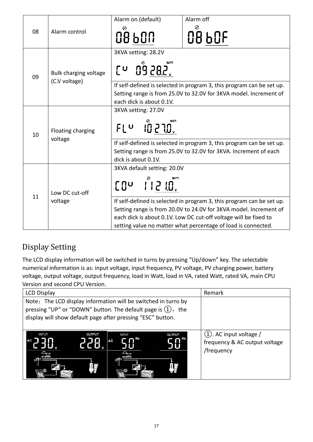|    |                                        | Alarm on (default)                                                                                                                                                     | Alarm off                                                                                                                                                                                                                                                                       |  |
|----|----------------------------------------|------------------------------------------------------------------------------------------------------------------------------------------------------------------------|---------------------------------------------------------------------------------------------------------------------------------------------------------------------------------------------------------------------------------------------------------------------------------|--|
| 08 | Alarm control                          | 0<br>08 SON                                                                                                                                                            | 08 bOF                                                                                                                                                                                                                                                                          |  |
| 09 | Bulk charging voltage<br>(C.V voltage) | 3KVA setting: 28.2V<br>[u 09 28.2]                                                                                                                                     |                                                                                                                                                                                                                                                                                 |  |
|    |                                        | If self-defined is selected in program 3, this program can be set up.<br>Setting range is from 25.0V to 32.0V for 3KVA model. Increment of<br>each dick is about 0.1V. |                                                                                                                                                                                                                                                                                 |  |
| 10 | Floating charging<br>voltage           | 3KVA setting: 27.0V<br>$10.270$ ,<br>FLU                                                                                                                               | BATT.                                                                                                                                                                                                                                                                           |  |
|    |                                        | If self-defined is selected in program 3, this program can be set up.<br>Setting range is from 25.0V to 32.0V for 3KVA. Increment of each<br>dick is about 0.1V.       |                                                                                                                                                                                                                                                                                 |  |
|    | Low DC cut-off<br>voltage              | 3KVA default setting: 20.0V<br>$\begin{bmatrix} 0 & 1 & 1 \\ 0 & 0 & 1 \end{bmatrix}$                                                                                  |                                                                                                                                                                                                                                                                                 |  |
| 11 |                                        |                                                                                                                                                                        | If self-defined is selected in program 3, this program can be set up.<br>Setting range is from 20.0V to 24.0V for 3KVA model. Increment of<br>each dick is about 0.1V. Low DC cut-off voltage will be fixed to<br>setting value no matter what percentage of load is connected. |  |

## Display Setting

The LCD display information will be switched in turns by pressing "Up/down" key. The selectable numerical information is as: input voltage, input frequency, PV voltage, PV charging power, battery voltage, output voltage, output frequency, load in Watt, load in VA, rated Watt, rated VA, main CPU Version and second CPU Version.

| <b>LCD Display</b>                                                                                                                                                                               | Remark                                                                    |
|--------------------------------------------------------------------------------------------------------------------------------------------------------------------------------------------------|---------------------------------------------------------------------------|
| Note: The LCD display information will be switched in turns by<br>pressing "UP" or "DOWN" button. The default page is $(1)$ , the<br>display will show default page after pressing "ESC" button. |                                                                           |
| <b>INPUT</b><br><b>OUTPUT</b><br><b>INPUT</b><br><b>OUTPUT</b><br><b>AC</b><br>AC<br>咀                                                                                                           | $(1)$ . AC input voltage /<br>frequency & AC output voltage<br>/frequency |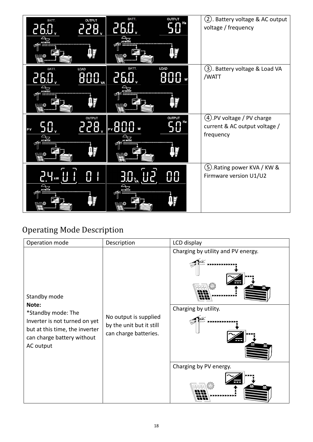| <b>OUTPUT</b><br>BATT.<br>Χ               | BATT.<br><b>OUTPUT</b>     | (2). Battery voltage & AC output<br>voltage / frequency                   |
|-------------------------------------------|----------------------------|---------------------------------------------------------------------------|
| BATT<br><b>LOAD</b>                       | <b>LOAD</b><br>BATT.       | (3). Battery voltage & Load VA<br>/WATT                                   |
| <b>OUTPUT</b><br>TO<br>PV<br>$\mathbb{F}$ | <b>OUTPUT</b><br>PV $\Box$ | (4). PV voltage / PV charge<br>current & AC output voltage /<br>frequency |
| 1 kW                                      |                            | 5. Rating power KVA / KW &<br>Firmware version U1/U2                      |

## Operating Mode Description

| Operation mode                                                                                                                   | Description                                                                | LCD display                                                |
|----------------------------------------------------------------------------------------------------------------------------------|----------------------------------------------------------------------------|------------------------------------------------------------|
| Standby mode<br>Note:                                                                                                            |                                                                            | Charging by utility and PV energy.<br>Charging by utility. |
| *Standby mode: The<br>Inverter is not turned on yet<br>but at this time, the inverter<br>can charge battery without<br>AC output | No output is supplied<br>by the unit but it still<br>can charge batteries. |                                                            |
|                                                                                                                                  |                                                                            | Charging by PV energy.                                     |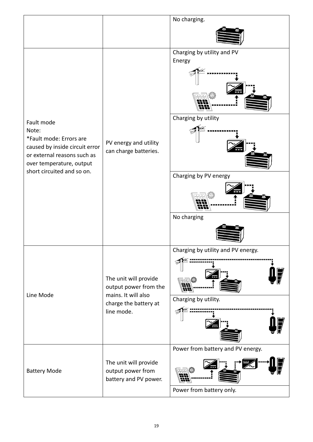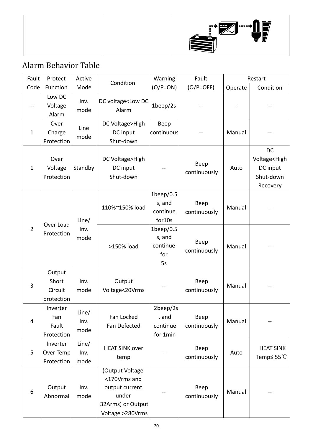|--|

## Alarm Behavior Table

| Fault          | Protect                                  | Active                | Condition                                                                                           | Warning                                         | Fault                |         | Restart                                                              |
|----------------|------------------------------------------|-----------------------|-----------------------------------------------------------------------------------------------------|-------------------------------------------------|----------------------|---------|----------------------------------------------------------------------|
| Code           | Function                                 | Mode                  |                                                                                                     | $(O/P=ON)$                                      | $(O/P = OFF)$        | Operate | Condition                                                            |
|                | Low DC<br>Voltage<br>Alarm               | Inv.<br>mode          | DC voltage <low dc<br="">Alarm</low>                                                                | $1$ beep/2s                                     |                      |         |                                                                      |
| $\mathbf{1}$   | Over<br>Charge<br>Protection             | Line<br>mode          | DC Voltage>High<br>DC input<br>Shut-down                                                            | Beep<br>continuous                              |                      | Manual  |                                                                      |
| $\mathbf{1}$   | Over<br>Voltage<br>Protection            | Standby               | DC Voltage>High<br>DC input<br>Shut-down                                                            |                                                 | Beep<br>continuously | Auto    | DC<br>Voltage <high<br>DC input<br/>Shut-down<br/>Recovery</high<br> |
|                | Over Load                                | Line/                 | 110%~150% load                                                                                      | $1$ beep/0.5<br>s, and<br>continue<br>for10s    | Beep<br>continuously | Manual  |                                                                      |
| $\overline{2}$ | Protection                               | Inv.<br>mode          | >150% load                                                                                          | $1$ beep/0.5<br>s, and<br>continue<br>for<br>5s | Beep<br>continuously | Manual  |                                                                      |
| 3              | Output<br>Short<br>Circuit<br>protection | Inv.<br>mode          | Output<br>Voltage<20Vrms                                                                            |                                                 | Beep<br>continuously | Manual  |                                                                      |
| 4              | Inverter<br>Fan<br>Fault<br>Protection   | Line/<br>Inv.<br>mode | Fan Locked<br>Fan Defected                                                                          | $2$ beep/2s<br>, and<br>continue<br>for 1min    | Beep<br>continuously | Manual  |                                                                      |
| 5              | Inverter<br>Over Temp<br>Protection      | Line/<br>Inv.<br>mode | <b>HEAT SINK over</b><br>temp                                                                       |                                                 | Beep<br>continuously | Auto    | <b>HEAT SINK</b><br>Temp $\leq 55^{\circ}$                           |
| 6              | Output<br>Abnormal                       | Inv.<br>mode          | (Output Voltage<br><170Vrms and<br>output current<br>under<br>32Arms) or Output<br>Voltage >280Vrms |                                                 | Beep<br>continuously | Manual  |                                                                      |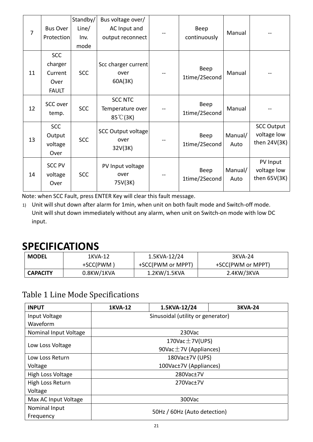| $\overline{7}$ | <b>Bus Over</b><br><b>Protection</b>                     | Standby/<br>Line/<br>Inv.<br>mode | Bus voltage over/<br>AC Input and<br>output reconnect    | Beep<br>continuously  | Manual          |                                                    |
|----------------|----------------------------------------------------------|-----------------------------------|----------------------------------------------------------|-----------------------|-----------------|----------------------------------------------------|
| 11             | <b>SCC</b><br>charger<br>Current<br>Over<br><b>FAULT</b> | <b>SCC</b>                        | Scc charger current<br>over<br>60A(3K)                   | Beep<br>1time/2Second | Manual          |                                                    |
| 12             | SCC over<br>temp.                                        | <b>SCC</b>                        | <b>SCC NTC</b><br>Temperature over<br>$85^{\circ}$ C(3K) | Beep<br>1time/2Second | Manual          |                                                    |
| 13             | <b>SCC</b><br>Output<br>voltage<br>Over                  | <b>SCC</b>                        | <b>SCC Output voltage</b><br>over<br>32V(3K)             | Beep<br>1time/2Second | Manual/<br>Auto | <b>SCC Output</b><br>voltage low<br>then $24V(3K)$ |
| 14             | <b>SCC PV</b><br>voltage<br>Over                         | <b>SCC</b>                        | PV Input voltage<br>over<br>75V(3K)                      | Beep<br>1time/2Second | Manual/<br>Auto | PV Input<br>voltage low<br>then $65V(3K)$          |

Note: when SCC Fault, press ENTER Key will clear this fault message.

1) Unit will shut down after alarm for 1min, when unit on both fault mode and Switch‐off mode. Unit will shut down immediately without any alarm, when unit on Switch‐on mode with low DC input.

## **SPECIFICATIONS**

| <b>MODEL</b><br>1KVA-12 |               | 1.5KVA-12/24      | 3KVA-24           |  |
|-------------------------|---------------|-------------------|-------------------|--|
|                         | +SCC(PWM)     | +SCC(PWM or MPPT) | +SCC(PWM or MPPT) |  |
| <b>CAPACITY</b>         | $0.8$ KW/1KVA | 1.2KW/1.5KVA      | 2.4KW/3KVA        |  |

### Table 1 Line Mode Specifications

| <b>INPUT</b>          | 1KVA-12                           | 1.5KVA-12/24       | <b>3KVA-24</b> |  |
|-----------------------|-----------------------------------|--------------------|----------------|--|
| Input Voltage         | Sinusoidal (utility or generator) |                    |                |  |
| Waveform              |                                   |                    |                |  |
| Nominal Input Voltage |                                   | 230Vac             |                |  |
|                       | 170Vac $\pm$ 7V(UPS)              |                    |                |  |
| Low Loss Voltage      | 90Vac $\pm$ 7V (Appliances)       |                    |                |  |
| Low Loss Return       | 180Vac±7V (UPS)                   |                    |                |  |
| Voltage               | 100Vac±7V (Appliances)            |                    |                |  |
| High Loss Voltage     | 280Vac±7V                         |                    |                |  |
| High Loss Return      |                                   | $270$ Vac $\pm$ 7V |                |  |
| Voltage               |                                   |                    |                |  |
| Max AC Input Voltage  | 300Vac                            |                    |                |  |
| Nominal Input         |                                   |                    |                |  |
| Frequency             | 50Hz / 60Hz (Auto detection)      |                    |                |  |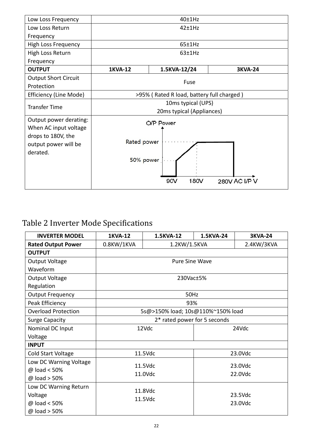| Low Loss Frequency                                                                                        | 40±1Hz                                                                |                                                 |                |  |
|-----------------------------------------------------------------------------------------------------------|-----------------------------------------------------------------------|-------------------------------------------------|----------------|--|
| Low Loss Return                                                                                           |                                                                       | 42±1Hz                                          |                |  |
| Frequency                                                                                                 |                                                                       |                                                 |                |  |
| <b>High Loss Frequency</b>                                                                                |                                                                       | 65±1Hz                                          |                |  |
| High Loss Return                                                                                          |                                                                       | 63±1Hz                                          |                |  |
| Frequency                                                                                                 |                                                                       |                                                 |                |  |
| <b>OUTPUT</b>                                                                                             | <b>1KVA-12</b>                                                        | 1.5KVA-12/24                                    | <b>3KVA-24</b> |  |
| <b>Output Short Circuit</b><br>Protection                                                                 | Fuse                                                                  |                                                 |                |  |
| Efficiency (Line Mode)                                                                                    | >95% (Rated R load, battery full charged)                             |                                                 |                |  |
| <b>Transfer Time</b>                                                                                      |                                                                       | 10ms typical (UPS)<br>20ms typical (Appliances) |                |  |
| Output power derating:<br>When AC input voltage<br>drops to 180V, the<br>output power will be<br>derated. | O/P Power<br>Rated power<br>50% power<br>280V AC I/P V<br>90V<br>180V |                                                 |                |  |

## Table 2 Inverter Mode Specifications

| <b>INVERTER MODEL</b>      | <b>1KVA-12</b>                    | 1.5KVA-12             | 1.5KVA-24 | <b>3KVA-24</b> |
|----------------------------|-----------------------------------|-----------------------|-----------|----------------|
| <b>Rated Output Power</b>  | 0.8KW/1KVA                        | 1.2KW/1.5KVA          |           | 2.4KW/3KVA     |
| <b>OUTPUT</b>              |                                   |                       |           |                |
| Output Voltage             |                                   | <b>Pure Sine Wave</b> |           |                |
| Waveform                   |                                   |                       |           |                |
| Output Voltage             |                                   | 230Vac±5%             |           |                |
| Regulation                 |                                   |                       |           |                |
| <b>Output Frequency</b>    |                                   | 50Hz                  |           |                |
| Peak Efficiency            |                                   | 93%                   |           |                |
| <b>Overload Protection</b> | 5s@>150% load; 10s@110%~150% load |                       |           |                |
| <b>Surge Capacity</b>      | 2* rated power for 5 seconds      |                       |           |                |
| Nominal DC Input           |                                   | 12Vdc                 |           | 24Vdc          |
| Voltage                    |                                   |                       |           |                |
| <b>INPUT</b>               |                                   |                       |           |                |
| Cold Start Voltage         |                                   | 11.5Vdc               |           | 23.0Vdc        |
| Low DC Warning Voltage     |                                   | 11.5Vdc               |           | 23.0Vdc        |
| @ load < 50%               |                                   |                       |           | 22.0Vdc        |
| @ load > 50%               | 11.0Vdc                           |                       |           |                |
| Low DC Warning Return      |                                   | 11.8Vdc               |           |                |
| Voltage                    |                                   | 11.5Vdc               |           | 23.5Vdc        |
| @ load < 50%               |                                   |                       |           | 23.0Vdc        |
| @ load > 50%               |                                   |                       |           |                |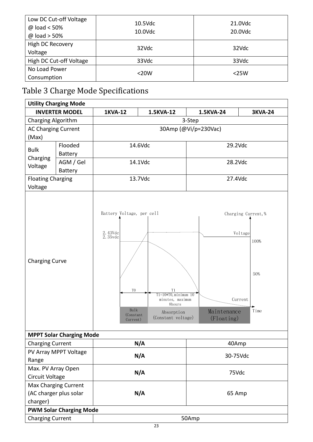| Low DC Cut-off Voltage<br>@ load < 50% | $10.5$ Vdc | 21.0Vdc |  |
|----------------------------------------|------------|---------|--|
| $@$ load > 50%                         | 10.0Vdc    | 20.0Vdc |  |
| High DC Recovery                       | 32Vdc      | 32Vdc   |  |
| Voltage                                |            |         |  |
| High DC Cut-off Voltage                | 33Vdc      | 33Vdc   |  |
| No Load Power                          | $<$ 20W    |         |  |
| Consumption                            |            | $<$ 25W |  |

## Table 3 Charge Mode Specifications

| <b>Utility Charging Mode</b>                          |                                 |                                                                                                                                |                                                                                                               |                           |                                                                  |  |  |
|-------------------------------------------------------|---------------------------------|--------------------------------------------------------------------------------------------------------------------------------|---------------------------------------------------------------------------------------------------------------|---------------------------|------------------------------------------------------------------|--|--|
| <b>INVERTER MODEL</b>                                 |                                 | <b>1KVA-12</b>                                                                                                                 | 1.5KVA-12                                                                                                     | 1.5KVA-24                 | <b>3KVA-24</b>                                                   |  |  |
| Charging Algorithm                                    |                                 | 3-Step                                                                                                                         |                                                                                                               |                           |                                                                  |  |  |
| <b>AC Charging Current</b>                            |                                 | 30Amp (@Vi/p=230Vac)                                                                                                           |                                                                                                               |                           |                                                                  |  |  |
| (Max)                                                 |                                 |                                                                                                                                |                                                                                                               |                           |                                                                  |  |  |
| <b>Bulk</b>                                           | Flooded                         |                                                                                                                                | 14.6Vdc                                                                                                       | 29.2Vdc                   |                                                                  |  |  |
| Charging                                              | <b>Battery</b>                  |                                                                                                                                |                                                                                                               |                           |                                                                  |  |  |
| Voltage                                               | AGM / Gel                       | 14.1Vdc                                                                                                                        |                                                                                                               | 28.2Vdc                   |                                                                  |  |  |
|                                                       | <b>Battery</b>                  |                                                                                                                                |                                                                                                               |                           |                                                                  |  |  |
| <b>Floating Charging</b>                              |                                 |                                                                                                                                | 13.7Vdc                                                                                                       | 27.4Vdc                   |                                                                  |  |  |
| Voltage                                               |                                 |                                                                                                                                |                                                                                                               |                           |                                                                  |  |  |
| <b>Charging Curve</b>                                 |                                 | Battery Voltage, per cell<br>$2.\;43 \rm{Vdc} \atop 2.\;35 \rm{vdc}$<br>T <sub>0</sub><br><b>Bulk</b><br>(Constant<br>Current) | T <sub>1</sub><br>$T1=10*T0$ , minimum $10$<br>minutes, maximum<br>8hours<br>Absorption<br>(Constant voltage) | Maintenance<br>(Floating) | Charging Current, %<br>Voltage<br>100%<br>50%<br>Current<br>Time |  |  |
|                                                       | <b>MPPT Solar Charging Mode</b> |                                                                                                                                |                                                                                                               |                           |                                                                  |  |  |
| <b>Charging Current</b>                               |                                 |                                                                                                                                | N/A                                                                                                           | 40Amp                     |                                                                  |  |  |
|                                                       | PV Array MPPT Voltage           | N/A                                                                                                                            |                                                                                                               | 30-75Vdc                  |                                                                  |  |  |
| Range                                                 |                                 |                                                                                                                                |                                                                                                               |                           |                                                                  |  |  |
| Max. PV Array Open                                    |                                 |                                                                                                                                | N/A                                                                                                           | 75Vdc                     |                                                                  |  |  |
| <b>Circuit Voltage</b>                                |                                 |                                                                                                                                |                                                                                                               |                           |                                                                  |  |  |
| <b>Max Charging Current</b><br>(AC charger plus solar |                                 |                                                                                                                                | N/A                                                                                                           |                           |                                                                  |  |  |
| charger)                                              |                                 |                                                                                                                                |                                                                                                               | 65 Amp                    |                                                                  |  |  |
|                                                       | <b>PWM Solar Charging Mode</b>  |                                                                                                                                |                                                                                                               |                           |                                                                  |  |  |
|                                                       |                                 |                                                                                                                                |                                                                                                               |                           |                                                                  |  |  |
| <b>Charging Current</b>                               |                                 | 50Amp                                                                                                                          |                                                                                                               |                           |                                                                  |  |  |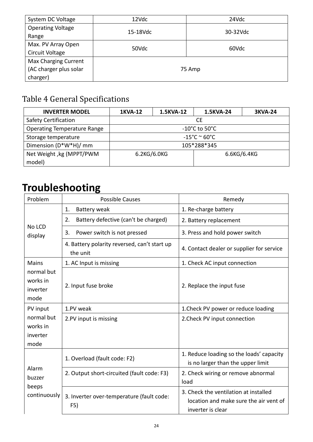| System DC Voltage        | 12Vdc    | 24Vdc    |  |
|--------------------------|----------|----------|--|
| <b>Operating Voltage</b> | 15-18Vdc | 30-32Vdc |  |
| Range                    |          |          |  |
| Max. PV Array Open       | 50Vdc    | 60Vdc    |  |
| Circuit Voltage          |          |          |  |
| Max Charging Current     |          |          |  |
| (AC charger plus solar   |          | 75 Amp   |  |
| charger)                 |          |          |  |

## Table 4 General Specifications

| <b>INVERTER MODEL</b>              | <b>1KVA-12</b>                     | 1.5KVA-12 | 1.5KVA-24 | <b>3KVA-24</b> |
|------------------------------------|------------------------------------|-----------|-----------|----------------|
| <b>Safety Certification</b>        | CE.                                |           |           |                |
| <b>Operating Temperature Range</b> | $-10^{\circ}$ C to 50 $^{\circ}$ C |           |           |                |
| Storage temperature                | $-15^{\circ}$ C ~ 60 $^{\circ}$ C  |           |           |                |
| Dimension (D*W*H)/ mm              | 105*288*345                        |           |           |                |
| Net Weight, kg (MPPT/PWM           | 6.2KG/6.0KG<br>6.6KG/6.4KG         |           |           |                |
| model)                             |                                    |           |           |                |

## **Troubleshooting**

| Problem                                                | <b>Possible Causes</b>                                   | Remedy                                                                                               |
|--------------------------------------------------------|----------------------------------------------------------|------------------------------------------------------------------------------------------------------|
|                                                        | Battery weak<br>1.                                       | 1. Re-charge battery                                                                                 |
|                                                        | 2.<br>Battery defective (can't be charged)               | 2. Battery replacement                                                                               |
| No LCD<br>display                                      | Power switch is not pressed<br>3.                        | 3. Press and hold power switch                                                                       |
|                                                        | 4. Battery polarity reversed, can't start up<br>the unit | 4. Contact dealer or supplier for service                                                            |
| <b>Mains</b>                                           | 1. AC Input is missing                                   | 1. Check AC input connection                                                                         |
| normal but<br>works in<br>inverter<br>mode             | 2. Input fuse broke                                      | 2. Replace the input fuse                                                                            |
| PV input<br>normal but<br>works in<br>inverter<br>mode | 1.PV weak                                                | 1. Check PV power or reduce loading                                                                  |
|                                                        | 2.PV input is missing                                    | 2. Check PV input connection                                                                         |
| Alarm<br>buzzer<br>beeps<br>continuously               | 1. Overload (fault code: F2)                             | 1. Reduce loading so the loads' capacity<br>is no larger than the upper limit                        |
|                                                        | 2. Output short-circuited (fault code: F3)               | 2. Check wiring or remove abnormal<br>load                                                           |
|                                                        | 3. Inverter over-temperature (fault code:<br>F5)         | 3. Check the ventilation at installed<br>location and make sure the air vent of<br>inverter is clear |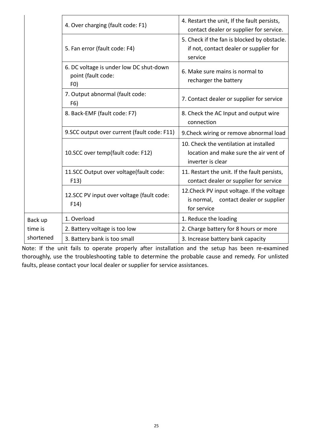|           | 4. Over charging (fault code: F1)                                    | 4. Restart the unit, If the fault persists,<br>contact dealer or supplier for service.                |  |
|-----------|----------------------------------------------------------------------|-------------------------------------------------------------------------------------------------------|--|
|           | 5. Fan error (fault code: F4)                                        | 5. Check if the fan is blocked by obstacle.<br>if not, contact dealer or supplier for<br>service      |  |
|           | 6. DC voltage is under low DC shut-down<br>point (fault code:<br>F() | 6. Make sure mains is normal to<br>recharger the battery                                              |  |
|           | 7. Output abnormal (fault code:<br>F6)                               | 7. Contact dealer or supplier for service                                                             |  |
|           | 8. Back-EMF (fault code: F7)                                         | 8. Check the AC Input and output wire<br>connection                                                   |  |
|           | 9.SCC output over current (fault code: F11)                          | 9. Check wiring or remove abnormal load                                                               |  |
|           | 10.SCC over temp(fault code: F12)                                    | 10. Check the ventilation at installed<br>location and make sure the air vent of<br>inverter is clear |  |
|           | 11.SCC Output over voltage(fault code:<br>F13)                       | 11. Restart the unit. If the fault persists,<br>contact dealer or supplier for service                |  |
|           | 12.SCC PV input over voltage (fault code:<br>F14)                    | 12. Check PV input voltage. If the voltage<br>is normal, contact dealer or supplier<br>for service    |  |
| Back up   | 1. Overload                                                          | 1. Reduce the loading                                                                                 |  |
| time is   | 2. Battery voltage is too low                                        | 2. Charge battery for 8 hours or more                                                                 |  |
| shortened | 3. Battery bank is too small                                         | 3. Increase battery bank capacity                                                                     |  |

Note: If the unit fails to operate properly after installation and the setup has been re‐examined thoroughly, use the troubleshooting table to determine the probable cause and remedy. For unlisted faults, please contact your local dealer or supplier for service assistances.